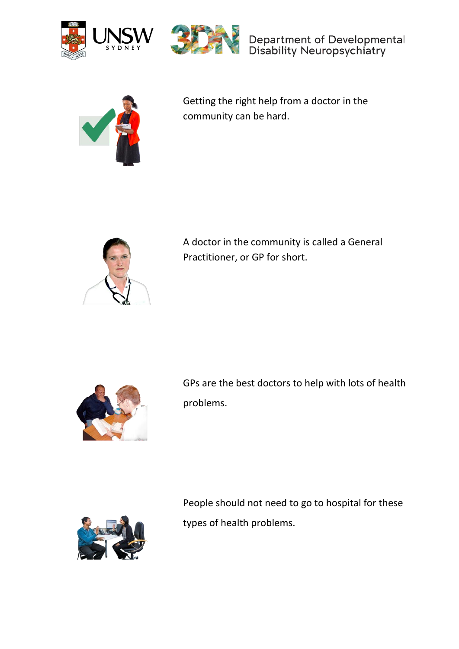



Department of Developmental<br>Disability Neuropsychiatry



Getting the right help from a doctor in the community can be hard.



A doctor in the community is called a General Practitioner, or GP for short.



GPs are the best doctors to help with lots of health problems.



People should not need to go to hospital for these types of health problems.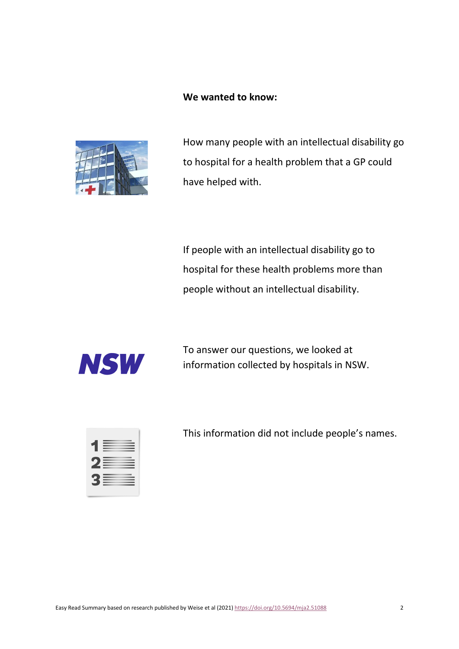## **We wanted to know:**



How many people with an intellectual disability go to hospital for a health problem that a GP could have helped with.

If people with an intellectual disability go to hospital for these health problems more than people without an intellectual disability.



To answer our questions, we looked at information collected by hospitals in NSW.



This information did not include people's names.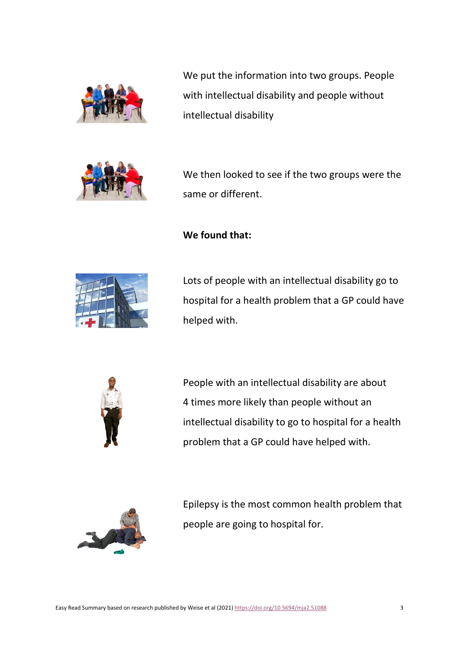

We put the information into two groups. People with intellectual disability and people without intellectual disability



We then looked to see if the two groups were the same or different.

**We found that:**



Lots of people with an intellectual disability go to hospital for a health problem that a GP could have helped with.



People with an intellectual disability are about 4 times more likely than people without an intellectual disability to go to hospital for a health problem that a GP could have helped with.



Epilepsy is the most common health problem that people are going to hospital for.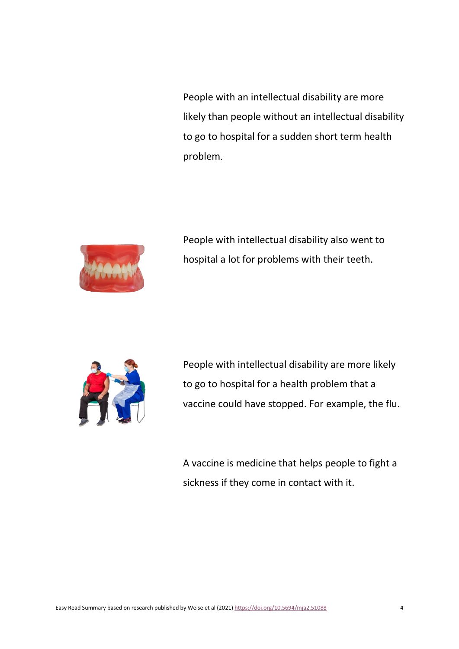People with an intellectual disability are more likely than people without an intellectual disability to go to hospital for a sudden short term health problem.



People with intellectual disability also went to hospital a lot for problems with their teeth.



People with intellectual disability are more likely to go to hospital for a health problem that a vaccine could have stopped. For example, the flu.

A vaccine is medicine that helps people to fight a sickness if they come in contact with it.